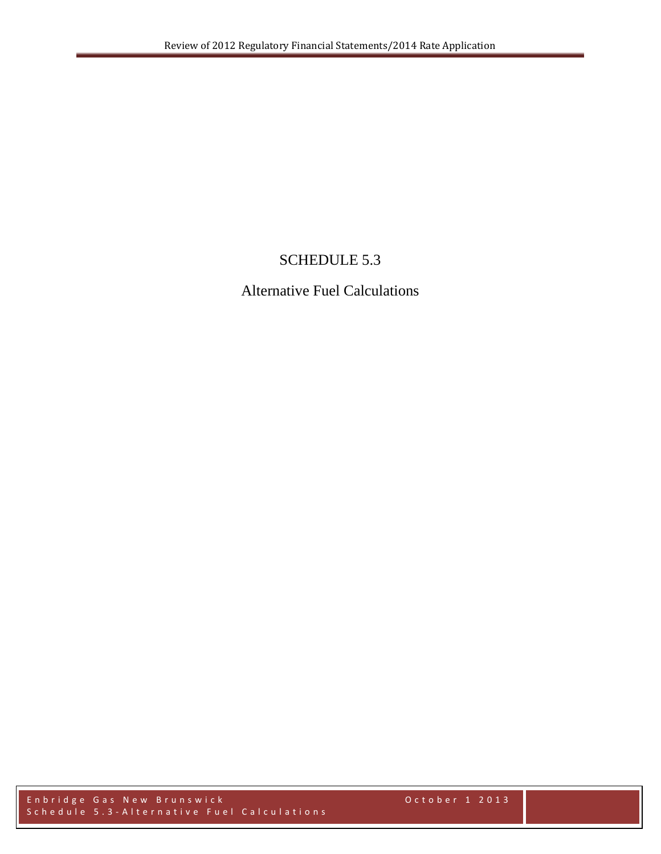# SCHEDULE 5.3

# Alternative Fuel Calculations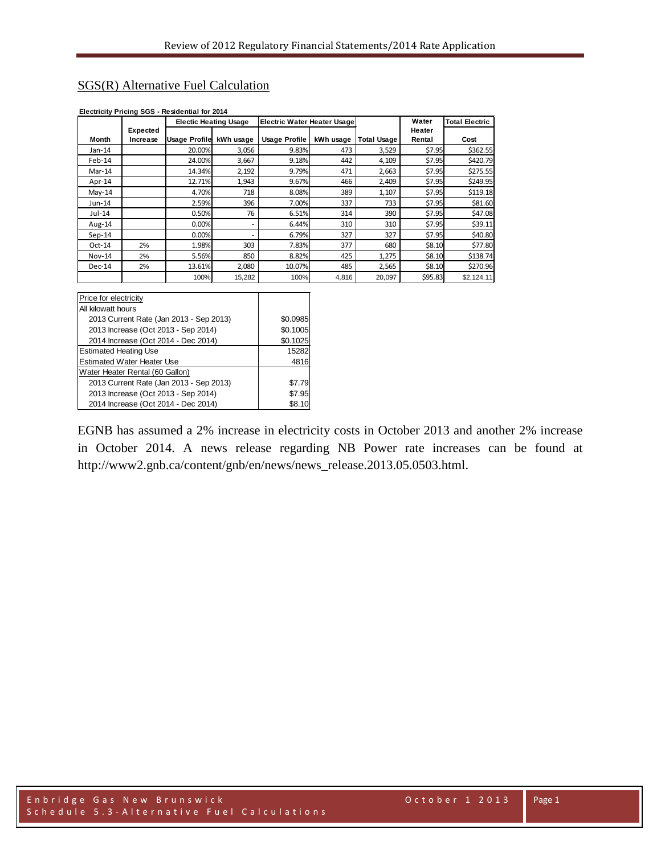## SGS(R) Alternative Fuel Calculation

|          |          | <b>Electic Heating Usage</b> |           | Electric Water Heater Usage |           |                    | Water   | <b>Total Electric</b> |
|----------|----------|------------------------------|-----------|-----------------------------|-----------|--------------------|---------|-----------------------|
|          | Expected |                              |           |                             |           |                    | Heater  |                       |
| Month    | Increase | <b>Usage Profile</b>         | kWh usage | Usage Profile               | kWh usage | <b>Total Usage</b> | Rental  | Cost                  |
| $Jan-14$ |          | 20.00%                       | 3,056     | 9.83%                       | 473       | 3,529              | \$7.95  | \$362.55              |
| Feb-14   |          | 24.00%                       | 3,667     | 9.18%                       | 442       | 4,109              | \$7.95  | \$420.79              |
| $Mar-14$ |          | 14.34%                       | 2,192     | 9.79%                       | 471       | 2,663              | \$7.95  | \$275.55              |
| Apr-14   |          | 12.71%                       | 1,943     | 9.67%                       | 466       | 2,409              | \$7.95  | \$249.95              |
| $May-14$ |          | 4.70%                        | 718       | 8.08%                       | 389       | 1,107              | \$7.95  | \$119.18              |
| Jun-14   |          | 2.59%                        | 396       | 7.00%                       | 337       | 733                | \$7.95  | \$81.60               |
| Jul-14   |          | 0.50%                        | 76        | 6.51%                       | 314       | 390                | \$7.95  | \$47.08               |
| Aug-14   |          | 0.00%                        |           | 6.44%                       | 310       | 310                | \$7.95  | \$39.11               |
| $Sep-14$ |          | 0.00%                        |           | 6.79%                       | 327       | 327                | \$7.95  | \$40.80               |
| $Oct-14$ | 2%       | 1.98%                        | 303       | 7.83%                       | 377       | 680                | \$8.10  | \$77.80               |
| Nov-14   | 2%       | 5.56%                        | 850       | 8.82%                       | 425       | 1,275              | \$8.10  | \$138.74              |
| $Dec-14$ | 2%       | 13.61%                       | 2,080     | 10.07%                      | 485       | 2,565              | \$8.10  | \$270.96              |
|          |          | 100%                         | 15,282    | 100%                        | 4,816     | 20,097             | \$95.83 | \$2,124.11            |

#### **Electricity Pricing SGS - Residential for 2014**

| Price for electricity                   |          |  |  |  |  |  |
|-----------------------------------------|----------|--|--|--|--|--|
| All kilowatt hours                      |          |  |  |  |  |  |
| 2013 Current Rate (Jan 2013 - Sep 2013) | \$0.0985 |  |  |  |  |  |
| 2013 Increase (Oct 2013 - Sep 2014)     | \$0.1005 |  |  |  |  |  |
| 2014 Increase (Oct 2014 - Dec 2014)     | \$0.1025 |  |  |  |  |  |
| <b>Estimated Heating Use</b>            | 15282    |  |  |  |  |  |
| <b>Estimated Water Heater Use</b>       | 4816     |  |  |  |  |  |
| Water Heater Rental (60 Gallon)         |          |  |  |  |  |  |
| 2013 Current Rate (Jan 2013 - Sep 2013) | \$7.79   |  |  |  |  |  |
| 2013 Increase (Oct 2013 - Sep 2014)     | \$7.95   |  |  |  |  |  |
| 2014 Increase (Oct 2014 - Dec 2014)     | \$8.10   |  |  |  |  |  |

EGNB has assumed a 2% increase in electricity costs in October 2013 and another 2% increase in October 2014. A news release regarding NB Power rate increases can be found at http://www2.gnb.ca/content/gnb/en/news/news\_release.2013.05.0503.html.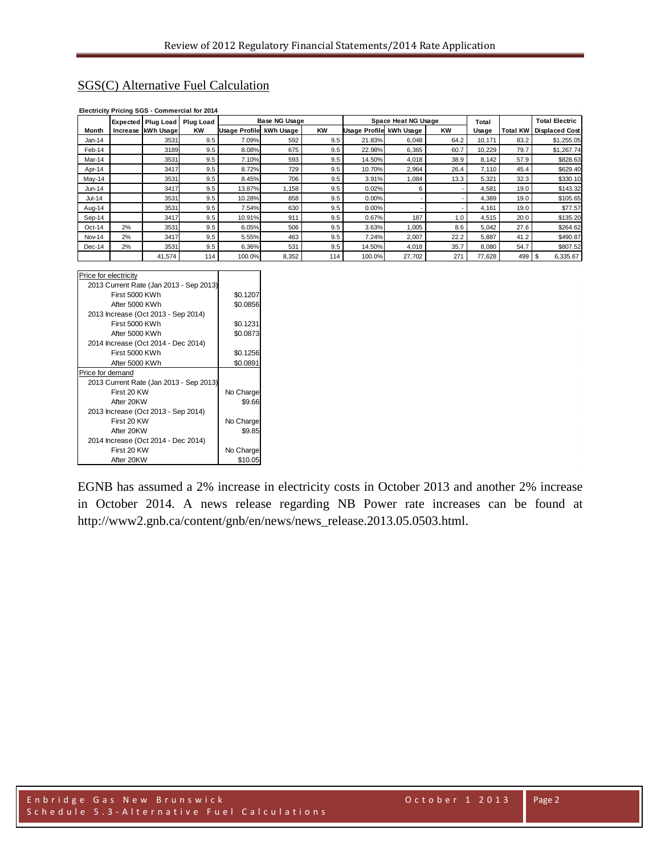## SGS(C) Alternative Fuel Calculation

|          |    | Expected Plug Load | <b>Plug Load</b> |                      | Base NG Usage |           |                         | Space Heat NG Usage |           | Total  |          | <b>Total Electric</b> |
|----------|----|--------------------|------------------|----------------------|---------------|-----------|-------------------------|---------------------|-----------|--------|----------|-----------------------|
| Month    |    | Increase kWh Usage | <b>KW</b>        | <b>Usage Profile</b> | kWh Usage     | <b>KW</b> | Usage Profile kWh Usage |                     | <b>KW</b> | Usage  | Total KW | <b>Displaced Cost</b> |
| $Jan-14$ |    | 3531               | 9.5              | 7.09%                | 592           | 9.5       | 21.83%                  | 6,048               | 64.2      | 10,171 | 83.2     | \$1,255.05            |
| Feb-14   |    | 3189               | 9.5              | 8.08%                | 675           | 9.5       | 22.98%                  | 6,365               | 60.7      | 10,229 | 79.7     | \$1,267.74            |
| Mar-14   |    | 3531               | 9.5              | 7.10%                | 593           | 9.5       | 14.50%                  | 4,018               | 38.9      | 8,142  | 57.9     | \$828.63              |
| Apr-14   |    | 3417               | 9.5              | 8.72%                | 729           | 9.5       | 10.70%                  | 2,964               | 26.4      | 7,110  | 45.4     | \$629.40              |
| May-14   |    | 3531               | 9.5              | 8.45%                | 706           | 9.5       | 3.91%                   | 1,084               | 13.3      | 5,321  | 32.3     | \$330.10              |
| Jun-14   |    | 3417               | 9.5              | 13.87%               | 1,158         | 9.5       | 0.02%                   | 6                   |           | 4,581  | 19.0     | \$143.32              |
| Jul-14   |    | 3531               | 9.5              | 10.28%               | 858           | 9.5       | 0.00%                   |                     |           | 4,389  | 19.0     | \$105.65              |
| Aug-14   |    | 3531               | 9.5              | 7.54%                | 630           | 9.5       | 0.00%                   |                     |           | 4.161  | 19.0     | \$77.57               |
| Sep-14   |    | 3417               | 9.5              | 10.91%               | 911           | 9.5       | 0.67%                   | 187                 | 1.0       | 4,515  | 20.0     | \$135.20              |
| $Oct-14$ | 2% | 3531               | 9.5              | 6.05%                | 506           | 9.5       | 3.63%                   | 1,005               | 8.6       | 5,042  | 27.6     | \$264.62              |
| Nov-14   | 2% | 3417               | 9.5              | 5.55%                | 463           | 9.5       | 7.24%                   | 2,007               | 22.2      | 5,887  | 41.2     | \$490.87              |
| $Dec-14$ | 2% | 3531               | 9.5              | 6.36%                | 531           | 9.5       | 14.50%                  | 4,018               | 35.7      | 8,080  | 54.7     | \$807.52              |
|          |    | 41.574             | 114              | 100.0%               | 8,352         | 114       | 100.0%                  | 27,702              | 271       | 77.628 | 499      | 6,335.67              |

### **Electricity Pricing SGS - Commercial for 2014**

| Price for electricity                   |           |
|-----------------------------------------|-----------|
| 2013 Current Rate (Jan 2013 - Sep 2013) |           |
| First 5000 KWh                          | \$0.1207  |
| After 5000 KWh                          | \$0.0856  |
| 2013 Increase (Oct 2013 - Sep 2014)     |           |
| First 5000 KWh                          | \$0.1231  |
| After 5000 KWh                          | \$0.0873  |
| 2014 Increase (Oct 2014 - Dec 2014)     |           |
| First 5000 KWh                          | \$0.1256  |
| After 5000 KWh                          | \$0.0891  |
| Price for demand                        |           |
| 2013 Current Rate (Jan 2013 - Sep 2013) |           |
| First 20 KW                             | No Charge |
| After 20KW                              | \$9.66    |
| 2013 Increase (Oct 2013 - Sep 2014)     |           |
| First 20 KW                             | No Charge |
| After 20KW                              | \$9.85    |
| 2014 Increase (Oct 2014 - Dec 2014)     |           |
| First 20 KW                             | No Charge |
| After 20KW                              | \$10.05   |

EGNB has assumed a 2% increase in electricity costs in October 2013 and another 2% increase in October 2014. A news release regarding NB Power rate increases can be found at http://www2.gnb.ca/content/gnb/en/news/news\_release.2013.05.0503.html.